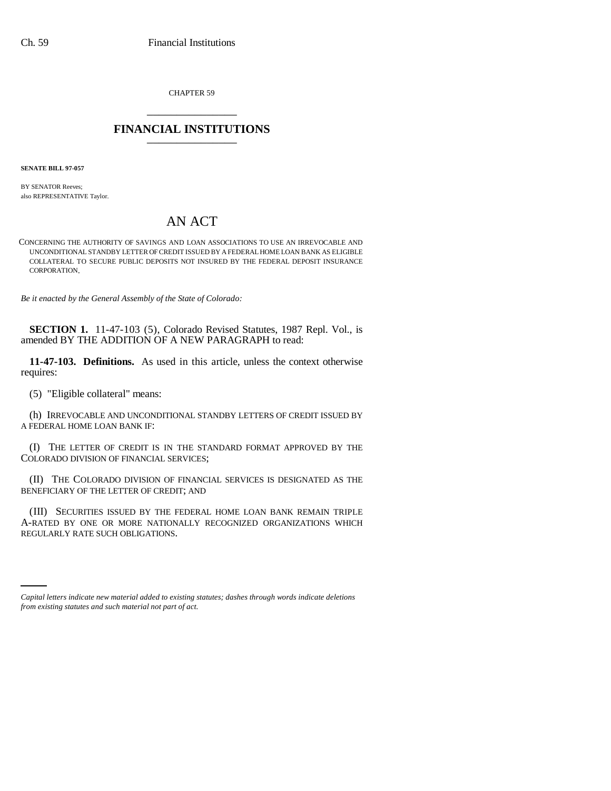CHAPTER 59 \_\_\_\_\_\_\_\_\_\_\_\_\_\_\_

## **FINANCIAL INSTITUTIONS** \_\_\_\_\_\_\_\_\_\_\_\_\_\_\_

**SENATE BILL 97-057**

BY SENATOR Reeves; also REPRESENTATIVE Taylor.

## AN ACT

CONCERNING THE AUTHORITY OF SAVINGS AND LOAN ASSOCIATIONS TO USE AN IRREVOCABLE AND UNCONDITIONAL STANDBY LETTER OF CREDIT ISSUED BY A FEDERAL HOME LOAN BANK AS ELIGIBLE COLLATERAL TO SECURE PUBLIC DEPOSITS NOT INSURED BY THE FEDERAL DEPOSIT INSURANCE CORPORATION.

*Be it enacted by the General Assembly of the State of Colorado:*

**SECTION 1.** 11-47-103 (5), Colorado Revised Statutes, 1987 Repl. Vol., is amended BY THE ADDITION OF A NEW PARAGRAPH to read:

**11-47-103. Definitions.** As used in this article, unless the context otherwise requires:

(5) "Eligible collateral" means:

(h) IRREVOCABLE AND UNCONDITIONAL STANDBY LETTERS OF CREDIT ISSUED BY A FEDERAL HOME LOAN BANK IF:

(I) THE LETTER OF CREDIT IS IN THE STANDARD FORMAT APPROVED BY THE COLORADO DIVISION OF FINANCIAL SERVICES;

(II) THE COLORADO DIVISION OF FINANCIAL SERVICES IS DESIGNATED AS THE BENEFICIARY OF THE LETTER OF CREDIT; AND

REGULARLY RATE SUCH OBLIGATIONS.(III) SECURITIES ISSUED BY THE FEDERAL HOME LOAN BANK REMAIN TRIPLE A-RATED BY ONE OR MORE NATIONALLY RECOGNIZED ORGANIZATIONS WHICH

*Capital letters indicate new material added to existing statutes; dashes through words indicate deletions from existing statutes and such material not part of act.*